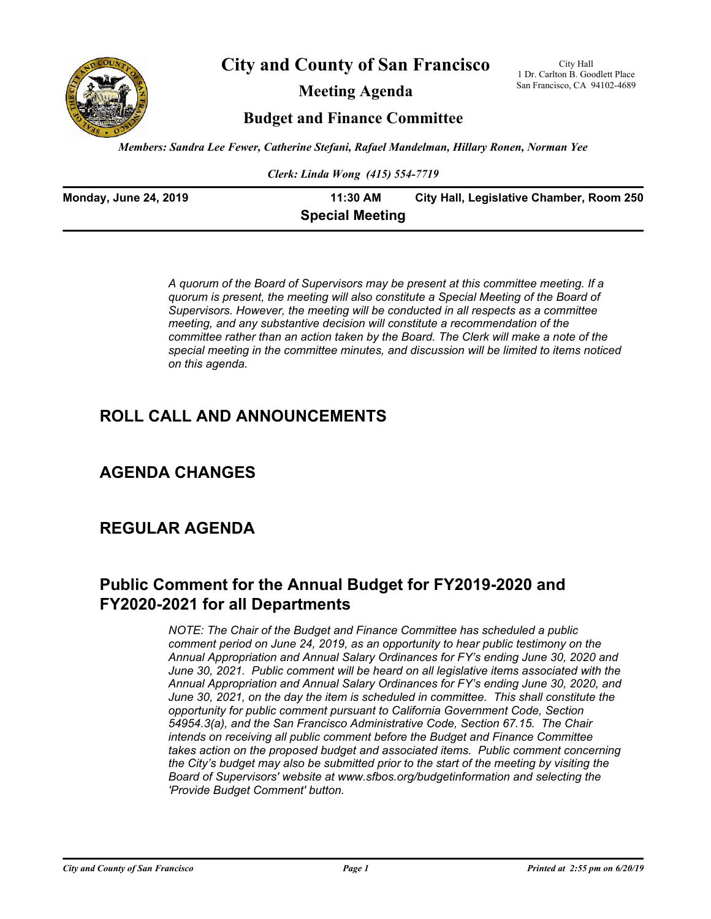

**City and County of San Francisco**

**Meeting Agenda**

City Hall 1 Dr. Carlton B. Goodlett Place San Francisco, CA 94102-4689

**Budget and Finance Committee**

*Members: Sandra Lee Fewer, Catherine Stefani, Rafael Mandelman, Hillary Ronen, Norman Yee*

*Clerk: Linda Wong (415) 554-7719*

| <b>Monday, June 24, 2019</b> | 11:30 AM               | City Hall, Legislative Chamber, Room 250 |
|------------------------------|------------------------|------------------------------------------|
|                              | <b>Special Meeting</b> |                                          |

*A quorum of the Board of Supervisors may be present at this committee meeting. If a quorum is present, the meeting will also constitute a Special Meeting of the Board of Supervisors. However, the meeting will be conducted in all respects as a committee meeting, and any substantive decision will constitute a recommendation of the committee rather than an action taken by the Board. The Clerk will make a note of the special meeting in the committee minutes, and discussion will be limited to items noticed on this agenda.*

# **ROLL CALL AND ANNOUNCEMENTS**

# **AGENDA CHANGES**

## **REGULAR AGENDA**

# **Public Comment for the Annual Budget for FY2019-2020 and FY2020-2021 for all Departments**

*NOTE: The Chair of the Budget and Finance Committee has scheduled a public comment period on June 24, 2019, as an opportunity to hear public testimony on the Annual Appropriation and Annual Salary Ordinances for FY's ending June 30, 2020 and June 30, 2021. Public comment will be heard on all legislative items associated with the Annual Appropriation and Annual Salary Ordinances for FY's ending June 30, 2020, and June 30, 2021, on the day the item is scheduled in committee. This shall constitute the opportunity for public comment pursuant to California Government Code, Section 54954.3(a), and the San Francisco Administrative Code, Section 67.15. The Chair intends on receiving all public comment before the Budget and Finance Committee takes action on the proposed budget and associated items. Public comment concerning the City's budget may also be submitted prior to the start of the meeting by visiting the Board of Supervisors' website at www.sfbos.org/budgetinformation and selecting the 'Provide Budget Comment' button.*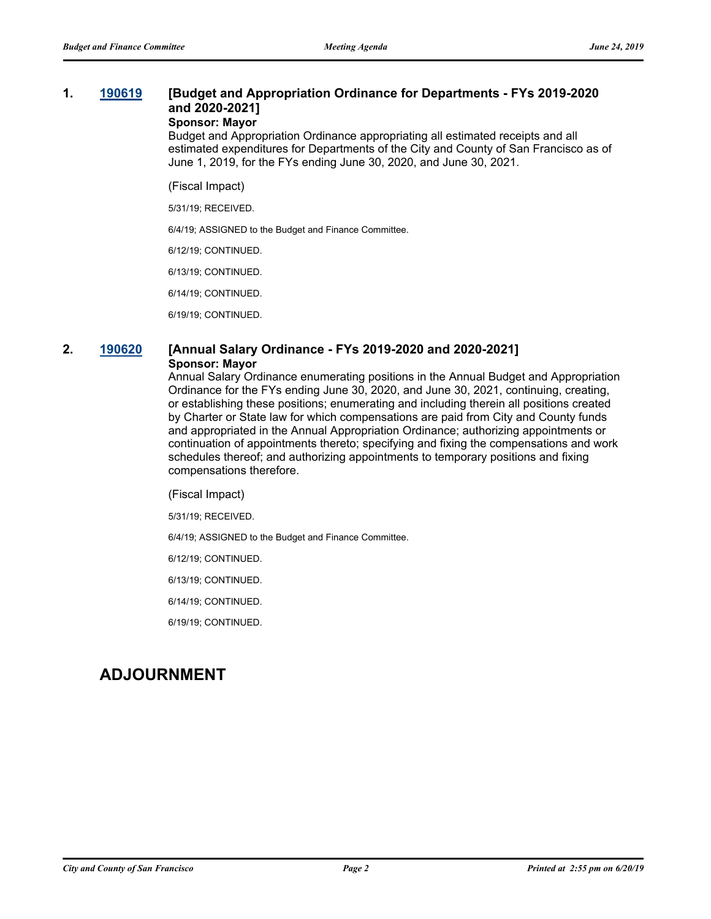## **1. [190619](http://sfgov.legistar.com/gateway.aspx?m=l&id=34741) [Budget and Appropriation Ordinance for Departments - FYs 2019-2020 and 2020-2021] Sponsor: Mayor**

Budget and Appropriation Ordinance appropriating all estimated receipts and all estimated expenditures for Departments of the City and County of San Francisco as of June 1, 2019, for the FYs ending June 30, 2020, and June 30, 2021.

(Fiscal Impact)

5/31/19; RECEIVED.

6/4/19; ASSIGNED to the Budget and Finance Committee.

6/12/19; CONTINUED.

6/13/19; CONTINUED.

6/14/19; CONTINUED.

6/19/19; CONTINUED.

## **2. [190620](http://sfgov.legistar.com/gateway.aspx?m=l&id=34742) [Annual Salary Ordinance - FYs 2019-2020 and 2020-2021] Sponsor: Mayor**

Annual Salary Ordinance enumerating positions in the Annual Budget and Appropriation Ordinance for the FYs ending June 30, 2020, and June 30, 2021, continuing, creating, or establishing these positions; enumerating and including therein all positions created by Charter or State law for which compensations are paid from City and County funds and appropriated in the Annual Appropriation Ordinance; authorizing appointments or continuation of appointments thereto; specifying and fixing the compensations and work schedules thereof; and authorizing appointments to temporary positions and fixing compensations therefore.

(Fiscal Impact)

5/31/19; RECEIVED.

6/4/19; ASSIGNED to the Budget and Finance Committee.

6/12/19; CONTINUED.

6/13/19; CONTINUED.

6/14/19; CONTINUED.

6/19/19; CONTINUED.

# **ADJOURNMENT**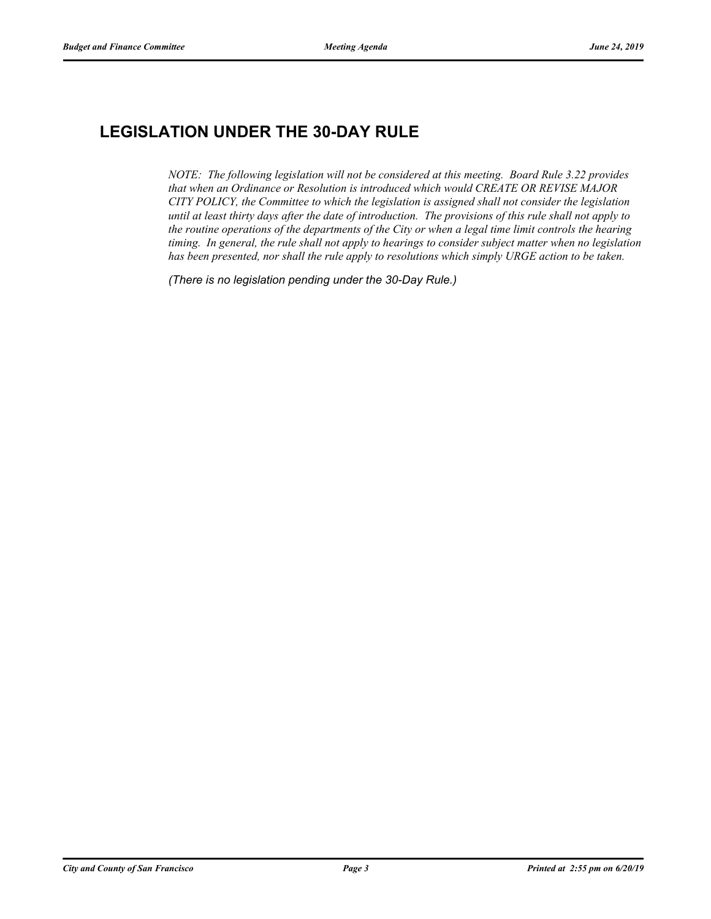# **LEGISLATION UNDER THE 30-DAY RULE**

*NOTE: The following legislation will not be considered at this meeting. Board Rule 3.22 provides that when an Ordinance or Resolution is introduced which would CREATE OR REVISE MAJOR CITY POLICY, the Committee to which the legislation is assigned shall not consider the legislation until at least thirty days after the date of introduction. The provisions of this rule shall not apply to the routine operations of the departments of the City or when a legal time limit controls the hearing timing. In general, the rule shall not apply to hearings to consider subject matter when no legislation has been presented, nor shall the rule apply to resolutions which simply URGE action to be taken.*

*(There is no legislation pending under the 30-Day Rule.)*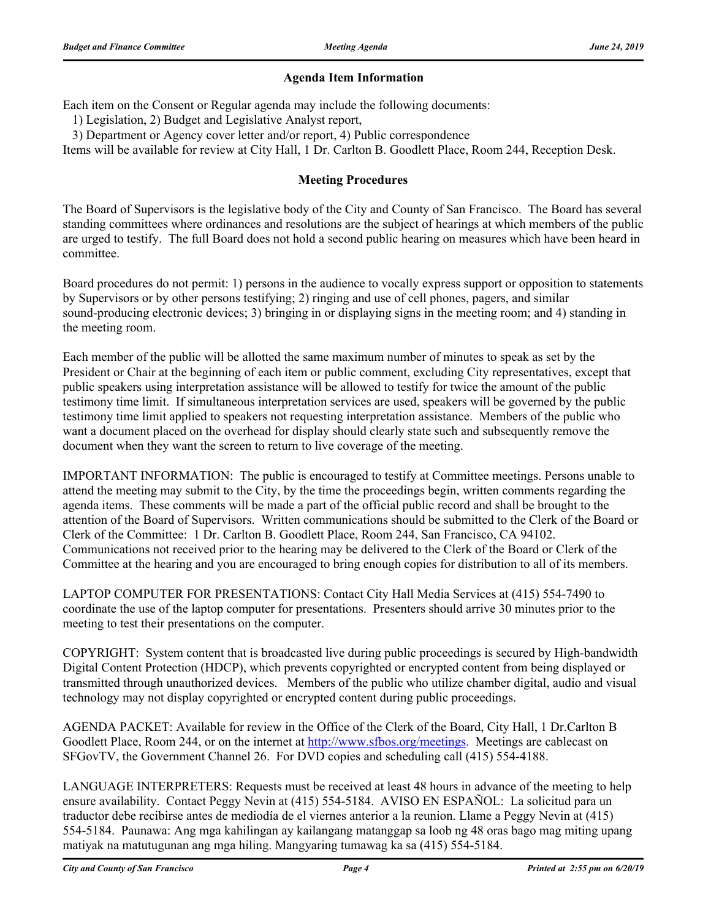## **Agenda Item Information**

Each item on the Consent or Regular agenda may include the following documents:

1) Legislation, 2) Budget and Legislative Analyst report,

3) Department or Agency cover letter and/or report, 4) Public correspondence

Items will be available for review at City Hall, 1 Dr. Carlton B. Goodlett Place, Room 244, Reception Desk.

## **Meeting Procedures**

The Board of Supervisors is the legislative body of the City and County of San Francisco. The Board has several standing committees where ordinances and resolutions are the subject of hearings at which members of the public are urged to testify. The full Board does not hold a second public hearing on measures which have been heard in committee.

Board procedures do not permit: 1) persons in the audience to vocally express support or opposition to statements by Supervisors or by other persons testifying; 2) ringing and use of cell phones, pagers, and similar sound-producing electronic devices; 3) bringing in or displaying signs in the meeting room; and 4) standing in the meeting room.

Each member of the public will be allotted the same maximum number of minutes to speak as set by the President or Chair at the beginning of each item or public comment, excluding City representatives, except that public speakers using interpretation assistance will be allowed to testify for twice the amount of the public testimony time limit. If simultaneous interpretation services are used, speakers will be governed by the public testimony time limit applied to speakers not requesting interpretation assistance. Members of the public who want a document placed on the overhead for display should clearly state such and subsequently remove the document when they want the screen to return to live coverage of the meeting.

IMPORTANT INFORMATION: The public is encouraged to testify at Committee meetings. Persons unable to attend the meeting may submit to the City, by the time the proceedings begin, written comments regarding the agenda items. These comments will be made a part of the official public record and shall be brought to the attention of the Board of Supervisors. Written communications should be submitted to the Clerk of the Board or Clerk of the Committee: 1 Dr. Carlton B. Goodlett Place, Room 244, San Francisco, CA 94102. Communications not received prior to the hearing may be delivered to the Clerk of the Board or Clerk of the Committee at the hearing and you are encouraged to bring enough copies for distribution to all of its members.

LAPTOP COMPUTER FOR PRESENTATIONS: Contact City Hall Media Services at (415) 554-7490 to coordinate the use of the laptop computer for presentations. Presenters should arrive 30 minutes prior to the meeting to test their presentations on the computer.

COPYRIGHT: System content that is broadcasted live during public proceedings is secured by High-bandwidth Digital Content Protection (HDCP), which prevents copyrighted or encrypted content from being displayed or transmitted through unauthorized devices. Members of the public who utilize chamber digital, audio and visual technology may not display copyrighted or encrypted content during public proceedings.

AGENDA PACKET: Available for review in the Office of the Clerk of the Board, City Hall, 1 Dr.Carlton B Goodlett Place, Room 244, or on the internet at http://www.sfbos.org/meetings. Meetings are cablecast on SFGovTV, the Government Channel 26. For DVD copies and scheduling call (415) 554-4188.

LANGUAGE INTERPRETERS: Requests must be received at least 48 hours in advance of the meeting to help ensure availability. Contact Peggy Nevin at (415) 554-5184. AVISO EN ESPAÑOL: La solicitud para un traductor debe recibirse antes de mediodía de el viernes anterior a la reunion. Llame a Peggy Nevin at (415) 554-5184. Paunawa: Ang mga kahilingan ay kailangang matanggap sa loob ng 48 oras bago mag miting upang matiyak na matutugunan ang mga hiling. Mangyaring tumawag ka sa (415) 554-5184.